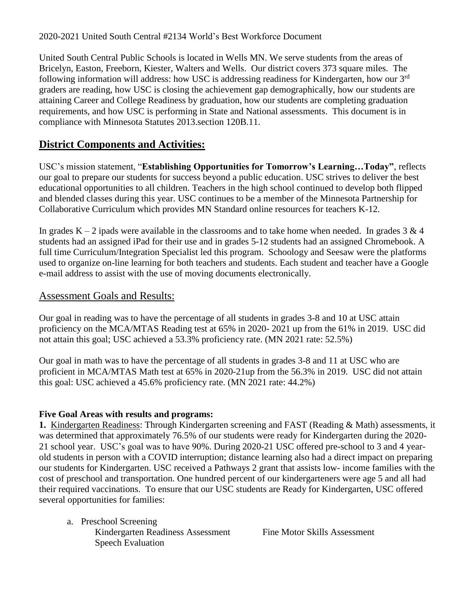2020-2021 United South Central #2134 World's Best Workforce Document

United South Central Public Schools is located in Wells MN. We serve students from the areas of Bricelyn, Easton, Freeborn, Kiester, Walters and Wells. Our district covers 373 square miles. The following information will address: how USC is addressing readiness for Kindergarten, how our 3rd graders are reading, how USC is closing the achievement gap demographically, how our students are attaining Career and College Readiness by graduation, how our students are completing graduation requirements, and how USC is performing in State and National assessments. This document is in compliance with Minnesota Statutes 2013.section 120B.11.

## **District Components and Activities:**

USC's mission statement, "**Establishing Opportunities for Tomorrow's Learning…Today"**, reflects our goal to prepare our students for success beyond a public education. USC strives to deliver the best educational opportunities to all children. Teachers in the high school continued to develop both flipped and blended classes during this year. USC continues to be a member of the Minnesota Partnership for Collaborative Curriculum which provides MN Standard online resources for teachers K-12.

In grades  $K - 2$  ipads were available in the classrooms and to take home when needed. In grades 3 & 4 students had an assigned iPad for their use and in grades 5-12 students had an assigned Chromebook. A full time Curriculum/Integration Specialist led this program. Schoology and Seesaw were the platforms used to organize on-line learning for both teachers and students. Each student and teacher have a Google e-mail address to assist with the use of moving documents electronically.

#### Assessment Goals and Results:

Our goal in reading was to have the percentage of all students in grades 3-8 and 10 at USC attain proficiency on the MCA/MTAS Reading test at 65% in 2020- 2021 up from the 61% in 2019. USC did not attain this goal; USC achieved a 53.3% proficiency rate. (MN 2021 rate: 52.5%)

Our goal in math was to have the percentage of all students in grades 3-8 and 11 at USC who are proficient in MCA/MTAS Math test at 65% in 2020-21up from the 56.3% in 2019. USC did not attain this goal: USC achieved a 45.6% proficiency rate. (MN 2021 rate: 44.2%)

#### **Five Goal Areas with results and programs:**

**1.** Kindergarten Readiness: Through Kindergarten screening and FAST (Reading & Math) assessments, it was determined that approximately 76.5% of our students were ready for Kindergarten during the 2020- 21 school year. USC's goal was to have 90%. During 2020-21 USC offered pre-school to 3 and 4 yearold students in person with a COVID interruption; distance learning also had a direct impact on preparing our students for Kindergarten. USC received a Pathways 2 grant that assists low- income families with the cost of preschool and transportation. One hundred percent of our kindergarteners were age 5 and all had their required vaccinations. To ensure that our USC students are Ready for Kindergarten, USC offered several opportunities for families:

a. Preschool Screening Kindergarten Readiness Assessment Fine Motor Skills Assessment Speech Evaluation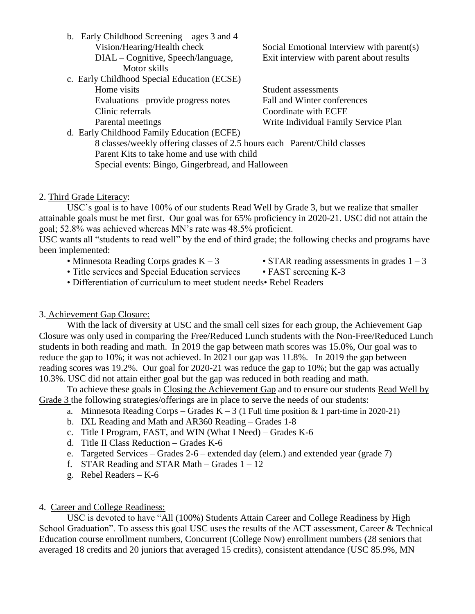b. Early Childhood Screening – ages 3 and 4 Motor skills

#### c. Early Childhood Special Education (ECSE) Home visits Student assessments

Evaluations –provide progress notes Fall and Winter conferences Clinic referrals Coordinate with ECFE

Vision/Hearing/Health check Social Emotional Interview with parent(s) DIAL – Cognitive, Speech/language, Exit interview with parent about results

Parental meetings Write Individual Family Service Plan

d. Early Childhood Family Education (ECFE) 8 classes/weekly offering classes of 2.5 hours each Parent/Child classes Parent Kits to take home and use with child Special events: Bingo, Gingerbread, and Halloween

#### 2. Third Grade Literacy:

USC's goal is to have 100% of our students Read Well by Grade 3, but we realize that smaller attainable goals must be met first. Our goal was for 65% proficiency in 2020-21. USC did not attain the goal; 52.8% was achieved whereas MN's rate was 48.5% proficient.

USC wants all "students to read well" by the end of third grade; the following checks and programs have been implemented:

- 
- Minnesota Reading Corps grades  $K 3$  STAR reading assessments in grades  $1 3$
- Title services and Special Education services FAST screening K-3
	-
- Differentiation of curriculum to meet student needs• Rebel Readers

#### 3. Achievement Gap Closure:

With the lack of diversity at USC and the small cell sizes for each group, the Achievement Gap Closure was only used in comparing the Free/Reduced Lunch students with the Non-Free/Reduced Lunch students in both reading and math. In 2019 the gap between math scores was 15.0%, Our goal was to reduce the gap to 10%; it was not achieved. In 2021 our gap was 11.8%. In 2019 the gap between reading scores was 19.2%. Our goal for 2020-21 was reduce the gap to 10%; but the gap was actually 10.3%. USC did not attain either goal but the gap was reduced in both reading and math.

To achieve these goals in Closing the Achievement Gap and to ensure our students Read Well by Grade 3 the following strategies/offerings are in place to serve the needs of our students:

- a. Minnesota Reading Corps Grades  $K 3$  (1 Full time position & 1 part-time in 2020-21)
- b. IXL Reading and Math and AR360 Reading Grades 1-8
- c. Title I Program, FAST, and WIN (What I Need) Grades K-6
- d. Title II Class Reduction Grades K-6
- e. Targeted Services Grades 2-6 extended day (elem.) and extended year (grade 7)
- f. STAR Reading and STAR Math Grades  $1 12$
- g. Rebel Readers K-6

#### 4. Career and College Readiness:

USC is devoted to have "All (100%) Students Attain Career and College Readiness by High School Graduation". To assess this goal USC uses the results of the ACT assessment, Career & Technical Education course enrollment numbers, Concurrent (College Now) enrollment numbers (28 seniors that averaged 18 credits and 20 juniors that averaged 15 credits), consistent attendance (USC 85.9%, MN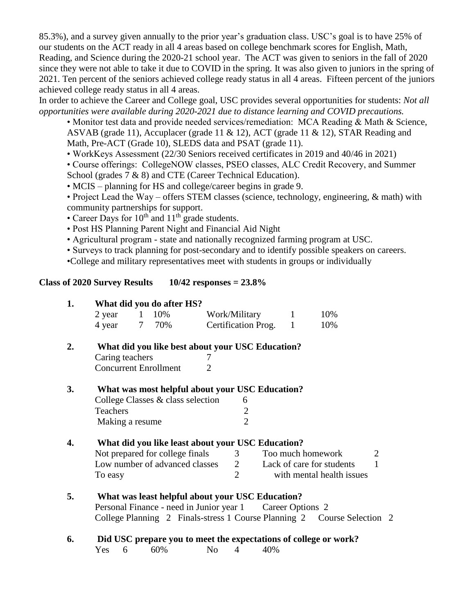85.3%), and a survey given annually to the prior year's graduation class. USC's goal is to have 25% of our students on the ACT ready in all 4 areas based on college benchmark scores for English, Math, Reading, and Science during the 2020-21 school year. The ACT was given to seniors in the fall of 2020 since they were not able to take it due to COVID in the spring. It was also given to juniors in the spring of 2021. Ten percent of the seniors achieved college ready status in all 4 areas. Fifteen percent of the juniors achieved college ready status in all 4 areas.

In order to achieve the Career and College goal, USC provides several opportunities for students: *Not all opportunities were available during 2020-2021 due to distance learning and COVID precautions.*

• Monitor test data and provide needed services/remediation: MCA Reading & Math & Science, ASVAB (grade 11), Accuplacer (grade 11 & 12), ACT (grade 11 & 12), STAR Reading and Math, Pre-ACT (Grade 10), SLEDS data and PSAT (grade 11).

• WorkKeys Assessment (22/30 Seniors received certificates in 2019 and 40/46 in 2021)

• Course offerings: CollegeNOW classes, PSEO classes, ALC Credit Recovery, and Summer School (grades 7 & 8) and CTE (Career Technical Education).

• MCIS – planning for HS and college/career begins in grade 9.

• Project Lead the Way – offers STEM classes (science, technology, engineering, & math) with community partnerships for support.

- Career Days for  $10^{th}$  and  $11^{th}$  grade students.
- Post HS Planning Parent Night and Financial Aid Night
- Agricultural program state and nationally recognized farming program at USC.
- Surveys to track planning for post-secondary and to identify possible speakers on careers.

•College and military representatives meet with students in groups or individually

#### **Class of 2020 Survey Results 10/42 responses = 23.8%**

| 1.        | What did you do after HS?                         |       |                |                                                           |                     |                                                                         |                |  |
|-----------|---------------------------------------------------|-------|----------------|-----------------------------------------------------------|---------------------|-------------------------------------------------------------------------|----------------|--|
|           | 2 year                                            | 1 10% |                | Work/Military                                             | 1                   | 10%                                                                     |                |  |
|           | 4 year                                            | 7 70% |                | Certification Prog. 1                                     |                     | 10%                                                                     |                |  |
| 2.        | What did you like best about your USC Education?  |       |                |                                                           |                     |                                                                         |                |  |
|           | Caring teachers                                   |       |                |                                                           |                     |                                                                         |                |  |
|           | <b>Concurrent Enrollment</b>                      |       | $\overline{2}$ |                                                           |                     |                                                                         |                |  |
| <b>3.</b> | What was most helpful about your USC Education?   |       |                |                                                           |                     |                                                                         |                |  |
|           | College Classes & class selection<br>6            |       |                |                                                           |                     |                                                                         |                |  |
|           | Teachers                                          |       |                | $\overline{2}$                                            |                     |                                                                         |                |  |
|           | Making a resume                                   |       |                | $\overline{2}$                                            |                     |                                                                         |                |  |
| 4.        | What did you like least about your USC Education? |       |                |                                                           |                     |                                                                         |                |  |
|           | Not prepared for college finals                   |       |                |                                                           | 3 Too much homework |                                                                         | $\overline{2}$ |  |
|           | Low number of advanced classes                    |       |                |                                                           |                     | 2 Lack of care for students                                             | $\mathbf{1}$   |  |
|           | To easy                                           |       |                | $\overline{2}$                                            |                     | with mental health issues                                               |                |  |
| 5.        | What was least helpful about your USC Education?  |       |                |                                                           |                     |                                                                         |                |  |
|           |                                                   |       |                | Personal Finance - need in Junior year 1 Career Options 2 |                     |                                                                         |                |  |
|           |                                                   |       |                |                                                           |                     | College Planning 2 Finals-stress 1 Course Planning 2 Course Selection 2 |                |  |
| 6.        |                                                   |       |                |                                                           |                     | Did USC prepare you to meet the expectations of college or work?        |                |  |
|           | 6<br>Yes                                          | 60%   | N <sub>0</sub> | 4                                                         | 40%                 |                                                                         |                |  |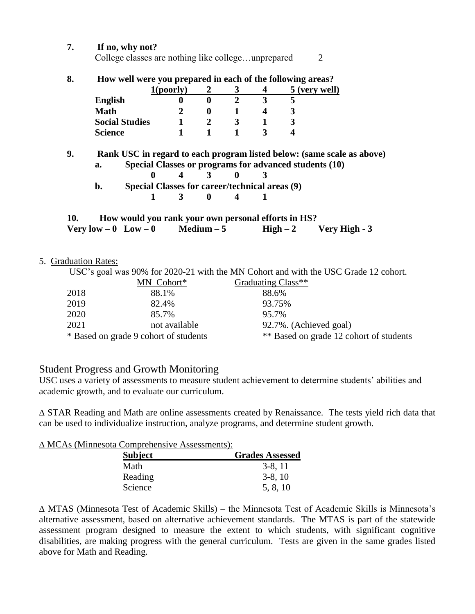| 8.  | How well were you prepared in each of the following areas? |                                                          |                  |                |                         |                      |  |  |
|-----|------------------------------------------------------------|----------------------------------------------------------|------------------|----------------|-------------------------|----------------------|--|--|
|     |                                                            | 1 <sub>(poorly)</sub>                                    | 2                | 3              | 4                       | <u>5 (very well)</u> |  |  |
|     | <b>English</b>                                             | 0                                                        | $\mathbf{0}$     | $\overline{2}$ | $\overline{\mathbf{3}}$ | 5                    |  |  |
|     | <b>Math</b>                                                | 2                                                        | $\boldsymbol{0}$ | 1              | 4                       | 3                    |  |  |
|     | <b>Social Studies</b>                                      | $\mathbf{1}$                                             | $\overline{2}$   | 3              | $\mathbf 1$             | 3                    |  |  |
|     | <b>Science</b>                                             |                                                          | $\mathbf{1}$     | 1              | 3                       | 4                    |  |  |
|     | b.                                                         | Special Classes for career/technical areas (9)<br>1<br>3 | 0                | 4              |                         |                      |  |  |
| 10. | How would you rank your own personal efforts in HS?        |                                                          |                  |                |                         |                      |  |  |
|     | Very low $-0$ Low $-0$                                     |                                                          | Medium $-5$      |                | $High-2$                | Very High - 3        |  |  |

|      | MN Cohort*                            | Graduating Class**                      |
|------|---------------------------------------|-----------------------------------------|
| 2018 | 88.1%                                 | 88.6%                                   |
| 2019 | 82.4%                                 | 93.75%                                  |
| 2020 | 85.7%                                 | 95.7%                                   |
| 2021 | not available                         | 92.7%. (Achieved goal)                  |
|      | * Based on grade 9 cohort of students | ** Based on grade 12 cohort of students |

#### Student Progress and Growth Monitoring

USC uses a variety of assessments to measure student achievement to determine students' abilities and academic growth, and to evaluate our curriculum.

∆ STAR Reading and Math are online assessments created by Renaissance. The tests yield rich data that can be used to individualize instruction, analyze programs, and determine student growth.

∆ MCAs (Minnesota Comprehensive Assessments):

| <b>Subject</b> | <b>Grades Assessed</b> |
|----------------|------------------------|
| Math           | $3-8, 11$              |
| Reading        | $3-8$ , 10             |
| Science        | 5, 8, 10               |

∆ MTAS (Minnesota Test of Academic Skills) – the Minnesota Test of Academic Skills is Minnesota's alternative assessment, based on alternative achievement standards. The MTAS is part of the statewide assessment program designed to measure the extent to which students, with significant cognitive disabilities, are making progress with the general curriculum. Tests are given in the same grades listed above for Math and Reading.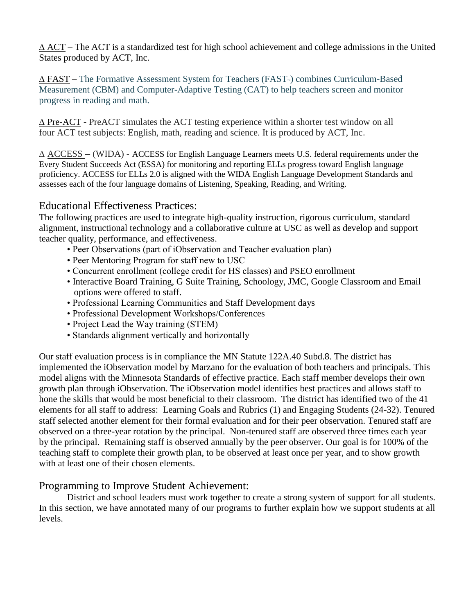∆ ACT – The ACT is a standardized test for high school achievement and college admissions in the United States produced by ACT, Inc.

 $\Delta$  FAST – The Formative Assessment System for Teachers (FAST<sub>"</sub>) combines Curriculum-Based Measurement (CBM) and Computer-Adaptive Testing (CAT) to help teachers screen and monitor progress in reading and math.

∆ Pre-ACT - PreACT simulates the ACT testing experience within a shorter test window on all four ACT test subjects: English, math, reading and science. It is produced by ACT, Inc.

∆ ACCESS – (WIDA) - ACCESS for English Language Learners meets U.S. federal requirements under the Every Student Succeeds Act (ESSA) for monitoring and reporting ELLs progress toward English language proficiency. ACCESS for ELLs 2.0 is aligned with the WIDA English Language Development Standards and assesses each of the four language domains of Listening, Speaking, Reading, and Writing.

#### Educational Effectiveness Practices:

The following practices are used to integrate high-quality instruction, rigorous curriculum, standard alignment, instructional technology and a collaborative culture at USC as well as develop and support teacher quality, performance, and effectiveness.

- Peer Observations (part of iObservation and Teacher evaluation plan)
- Peer Mentoring Program for staff new to USC
- Concurrent enrollment (college credit for HS classes) and PSEO enrollment
- Interactive Board Training, G Suite Training, Schoology, JMC, Google Classroom and Email options were offered to staff.
- Professional Learning Communities and Staff Development days
- Professional Development Workshops/Conferences
- Project Lead the Way training (STEM)
- Standards alignment vertically and horizontally

Our staff evaluation process is in compliance the MN Statute 122A.40 Subd.8. The district has implemented the iObservation model by Marzano for the evaluation of both teachers and principals. This model aligns with the Minnesota Standards of effective practice. Each staff member develops their own growth plan through iObservation. The iObservation model identifies best practices and allows staff to hone the skills that would be most beneficial to their classroom. The district has identified two of the 41 elements for all staff to address: Learning Goals and Rubrics (1) and Engaging Students (24-32). Tenured staff selected another element for their formal evaluation and for their peer observation. Tenured staff are observed on a three-year rotation by the principal. Non-tenured staff are observed three times each year by the principal. Remaining staff is observed annually by the peer observer. Our goal is for 100% of the teaching staff to complete their growth plan, to be observed at least once per year, and to show growth with at least one of their chosen elements.

#### Programming to Improve Student Achievement:

District and school leaders must work together to create a strong system of support for all students. In this section, we have annotated many of our programs to further explain how we support students at all levels.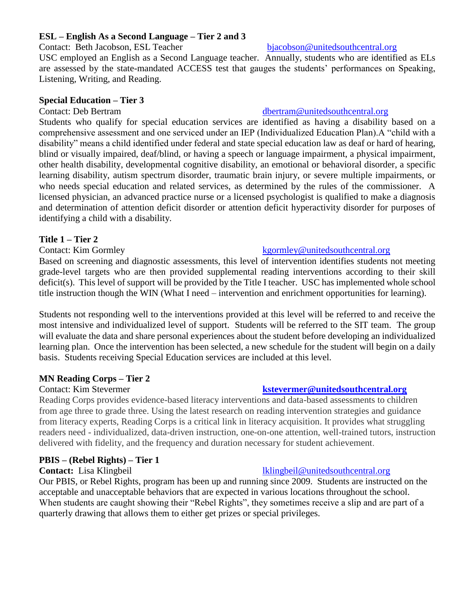#### **ESL – English As a Second Language – Tier 2 and 3**

Contact: Beth Jacobson, ESL Teacher [bjacobson@unitedsouthcentral.org](mailto:bjacobson@unitedsouthcentral.org)

USC employed an English as a Second Language teacher. Annually, students who are identified as ELs are assessed by the state-mandated ACCESS test that gauges the students' performances on Speaking, Listening, Writing, and Reading.

#### **Special Education – Tier 3**

Students who qualify for special education services are identified as having a disability based on a comprehensive assessment and one serviced under an IEP (Individualized Education Plan).A "child with a disability" means a child identified under federal and state special education law as deaf or hard of hearing, blind or visually impaired, deaf/blind, or having a speech or language impairment, a physical impairment, other health disability, developmental cognitive disability, an emotional or behavioral disorder, a specific learning disability, autism spectrum disorder, traumatic brain injury, or severe multiple impairments, or who needs special education and related services, as determined by the rules of the commissioner. A licensed physician, an advanced practice nurse or a licensed psychologist is qualified to make a diagnosis and determination of attention deficit disorder or attention deficit hyperactivity disorder for purposes of identifying a child with a disability.

#### **Title 1 – Tier 2**

Based on screening and diagnostic assessments, this level of intervention identifies students not meeting grade-level targets who are then provided supplemental reading interventions according to their skill deficit(s). This level of support will be provided by the Title I teacher. USC has implemented whole school title instruction though the WIN (What I need – intervention and enrichment opportunities for learning).

Students not responding well to the interventions provided at this level will be referred to and receive the most intensive and individualized level of support. Students will be referred to the SIT team. The group will evaluate the data and share personal experiences about the student before developing an individualized learning plan. Once the intervention has been selected, a new schedule for the student will begin on a daily basis. Students receiving Special Education services are included at this level.

#### **MN Reading Corps – Tier 2**

Reading Corps provides evidence-based literacy interventions and data-based assessments to children from age three to grade three. Using the latest research on reading intervention strategies and guidance from literacy experts, Reading Corps is a critical link in literacy acquisition. It provides what struggling readers need - individualized, data-driven instruction, one-on-one attention, well-trained tutors, instruction delivered with fidelity, and the frequency and duration necessary for student achievement.

#### **PBIS – (Rebel Rights) – Tier 1**

**Contact:** Lisa Klingbeil late and the settlement of the late of the late of the late of the late of the late of the late of the late of the late of the late of the late of the late of the late of the late of the late of t

Our PBIS, or Rebel Rights, program has been up and running since 2009. Students are instructed on the acceptable and unacceptable behaviors that are expected in various locations throughout the school. When students are caught showing their "Rebel Rights", they sometimes receive a slip and are part of a quarterly drawing that allows them to either get prizes or special privileges.

#### Contact: Deb Bertram deuter and the discussion of the discussion of the discussion of the discussion of the discussion of the discussion of the discussion of the discussion of the discussion of the discussion of the discus

#### Contact: Kim Gormley entitled and the second service of the service of the service of the service of the service of the service of the service of the service of the service of the service of the service of the service of t

#### Contact: Kim Stevermer **[kstevermer@unitedsouthcentral.org](mailto:kstevermer@unitedsouthcentral.org)**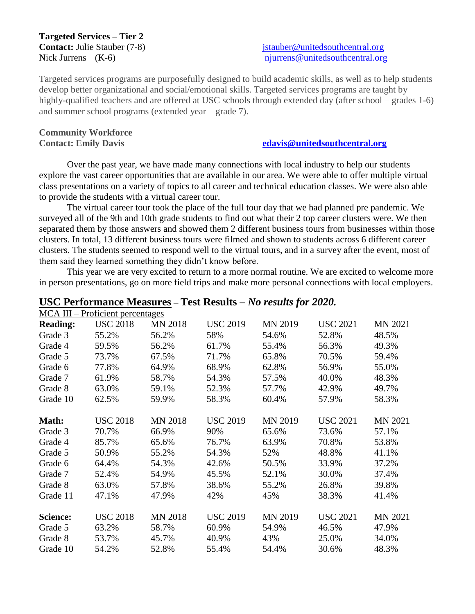# **Targeted Services – Tier 2**

**Contact:** Julie Stauber (7-8) [jstauber@unitedsouthcentral.org](mailto:jstauber@unitedsouthcentral.org) Nick Jurrens (K-6) [njurrens@unitedsouthcentral.org](mailto:njurrens@unitedsouthcentral.org)

Targeted services programs are purposefully designed to build academic skills, as well as to help students develop better organizational and social/emotional skills. Targeted services programs are taught by highly-qualified teachers and are offered at USC schools through extended day (after school – grades 1-6) and summer school programs (extended year – grade 7).

## **Community Workforce**

#### **Contact: Emily Davis [edavis@unitedsouthcentral.org](mailto:edavis@unitedsouthcentral.org)**

Over the past year, we have made many connections with local industry to help our students explore the vast career opportunities that are available in our area. We were able to offer multiple virtual class presentations on a variety of topics to all career and technical education classes. We were also able to provide the students with a virtual career tour.

The virtual career tour took the place of the full tour day that we had planned pre pandemic. We surveyed all of the 9th and 10th grade students to find out what their 2 top career clusters were. We then separated them by those answers and showed them 2 different business tours from businesses within those clusters. In total, 13 different business tours were filmed and shown to students across 6 different career clusters. The students seemed to respond well to the virtual tours, and in a survey after the event, most of them said they learned something they didn't know before.

This year we are very excited to return to a more normal routine. We are excited to welcome more in person presentations, go on more field trips and make more personal connections with local employers.

|                 | MCA III – Proficient percentages |                |                 |                |                 |                |  |
|-----------------|----------------------------------|----------------|-----------------|----------------|-----------------|----------------|--|
| <b>Reading:</b> | <b>USC 2018</b>                  | <b>MN 2018</b> | <b>USC 2019</b> | <b>MN 2019</b> | <b>USC 2021</b> | <b>MN 2021</b> |  |
| Grade 3         | 55.2%                            | 56.2%          | 58%             | 54.6%          | 52.8%           | 48.5%          |  |
| Grade 4         | 59.5%                            | 56.2%          | 61.7%           | 55.4%          | 56.3%           | 49.3%          |  |
| Grade 5         | 73.7%                            | 67.5%          | 71.7%           | 65.8%          | 70.5%           | 59.4%          |  |
| Grade 6         | 77.8%                            | 64.9%          | 68.9%           | 62.8%          | 56.9%           | 55.0%          |  |
| Grade 7         | 61.9%                            | 58.7%          | 54.3%           | 57.5%          | 40.0%           | 48.3%          |  |
| Grade 8         | 63.0%                            | 59.1%          | 52.3%           | 57.7%          | 42.9%           | 49.7%          |  |
| Grade 10        | 62.5%                            | 59.9%          | 58.3%           | 60.4%          | 57.9%           | 58.3%          |  |
|                 |                                  |                |                 |                |                 |                |  |
| Math:           | <b>USC 2018</b>                  | <b>MN 2018</b> | <b>USC 2019</b> | <b>MN 2019</b> | <b>USC 2021</b> | <b>MN 2021</b> |  |
| Grade 3         | 70.7%                            | 66.9%          | 90%             | 65.6%          | 73.6%           | 57.1%          |  |
| Grade 4         | 85.7%                            | 65.6%          | 76.7%           | 63.9%          | 70.8%           | 53.8%          |  |
| Grade 5         | 50.9%                            | 55.2%          | 54.3%           | 52%            | 48.8%           | 41.1%          |  |
| Grade 6         | 64.4%                            | 54.3%          | 42.6%           | 50.5%          | 33.9%           | 37.2%          |  |
| Grade 7         | 52.4%                            | 54.9%          | 45.5%           | 52.1%          | 30.0%           | 37.4%          |  |
| Grade 8         | 63.0%                            | 57.8%          | 38.6%           | 55.2%          | 26.8%           | 39.8%          |  |
| Grade 11        | 47.1%                            | 47.9%          | 42%             | 45%            | 38.3%           | 41.4%          |  |
|                 |                                  |                |                 |                |                 |                |  |
| <b>Science:</b> | <b>USC 2018</b>                  | <b>MN 2018</b> | <b>USC 2019</b> | <b>MN 2019</b> | <b>USC 2021</b> | <b>MN 2021</b> |  |
| Grade 5         | 63.2%                            | 58.7%          | 60.9%           | 54.9%          | 46.5%           | 47.9%          |  |
| Grade 8         | 53.7%                            | 45.7%          | 40.9%           | 43%            | 25.0%           | 34.0%          |  |
| Grade 10        | 54.2%                            | 52.8%          | 55.4%           | 54.4%          | 30.6%           | 48.3%          |  |

#### **USC Performance Measures – Test Results –** *No results for 2020.*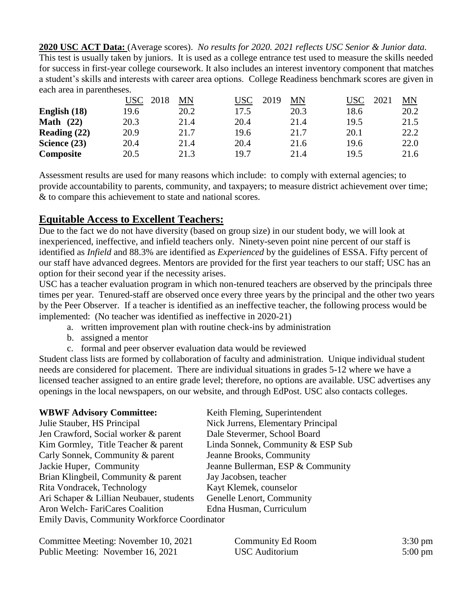**2020 USC ACT Data:** (Average scores). *No results for 2020. 2021 reflects USC Senior & Junior data.* This test is usually taken by juniors. It is used as a college entrance test used to measure the skills needed for success in first-year college coursework. It also includes an interest inventory component that matches a student's skills and interests with career area options. College Readiness benchmark scores are given in each area in parentheses.

|                     | USC  <br>2018 | MN   | USC  | 2019<br>ΜN | USC<br>2021 | MN   |
|---------------------|---------------|------|------|------------|-------------|------|
| English (18)        | 19.6          | 20.2 | 17.5 | 20.3       | 18.6        | 20.2 |
| <b>Math</b><br>(22) | 20.3          | 21.4 | 20.4 | 21.4       | 19.5        | 21.5 |
| Reading $(22)$      | 20.9          | 21.7 | 19.6 | 21.7       | 20.1        | 22.2 |
| Science (23)        | 20.4          | 21.4 | 20.4 | 21.6       | 19.6        | 22.0 |
| Composite           | 20.5          | 21.3 | 19.7 | 21.4       | 19.5        | 21.6 |

Assessment results are used for many reasons which include: to comply with external agencies; to provide accountability to parents, community, and taxpayers; to measure district achievement over time; & to compare this achievement to state and national scores.

### **Equitable Access to Excellent Teachers:**

Due to the fact we do not have diversity (based on group size) in our student body, we will look at inexperienced, ineffective, and infield teachers only. Ninety-seven point nine percent of our staff is identified as *Infield* and 88.3% are identified as *Experienced* by the guidelines of ESSA. Fifty percent of our staff have advanced degrees. Mentors are provided for the first year teachers to our staff; USC has an option for their second year if the necessity arises.

USC has a teacher evaluation program in which non-tenured teachers are observed by the principals three times per year. Tenured-staff are observed once every three years by the principal and the other two years by the Peer Observer. If a teacher is identified as an ineffective teacher, the following process would be implemented: (No teacher was identified as ineffective in 2020-21)

- a. written improvement plan with routine check-ins by administration
- b. assigned a mentor
- c. formal and peer observer evaluation data would be reviewed

Student class lists are formed by collaboration of faculty and administration. Unique individual student needs are considered for placement. There are individual situations in grades 5-12 where we have a licensed teacher assigned to an entire grade level; therefore, no options are available. USC advertises any openings in the local newspapers, on our website, and through EdPost. USC also contacts colleges.

| <b>WBWF Advisory Committee:</b>              | Keith Fleming, Superintendent      |
|----------------------------------------------|------------------------------------|
| Julie Stauber, HS Principal                  | Nick Jurrens, Elementary Principal |
| Jen Crawford, Social worker & parent         | Dale Stevermer, School Board       |
| Kim Gormley, Title Teacher & parent          | Linda Sonnek, Community & ESP Sub  |
| Carly Sonnek, Community & parent             | Jeanne Brooks, Community           |
| Jackie Huper, Community                      | Jeanne Bullerman, ESP & Community  |
| Brian Klingbeil, Community & parent          | Jay Jacobsen, teacher              |
| Rita Vondracek, Technology                   | Kayt Klemek, counselor             |
| Ari Schaper & Lillian Neubauer, students     | Genelle Lenort, Community          |
| Aron Welch-FariCares Coalition               | Edna Husman, Curriculum            |
| Emily Davis, Community Workforce Coordinator |                                    |

| Committee Meeting: November 10, 2021 | <b>Community Ed Room</b> | $3:30 \text{ pm}$ |
|--------------------------------------|--------------------------|-------------------|
| Public Meeting: November 16, 2021    | USC Auditorium           | $5:00 \text{ pm}$ |